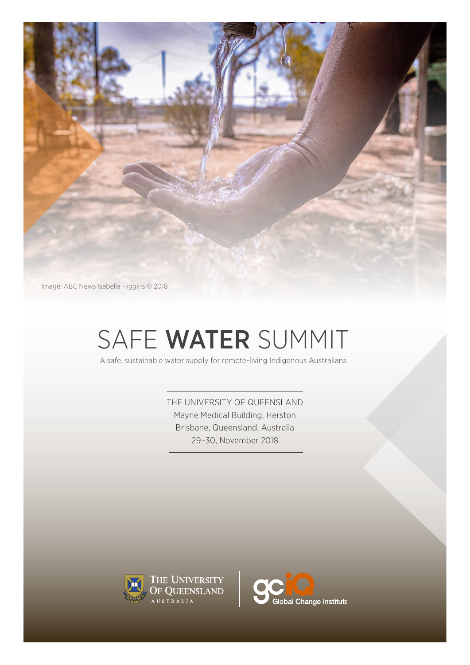

# SAFE WATER SUMMIT

A safe, sustainable water supply for remote-living Indigenous Australians

THE UNIVERSITY OF QUEENSLAND Mayne Medical Building, Herston Brisbane, Queensland, Australia 29–30, November 2018



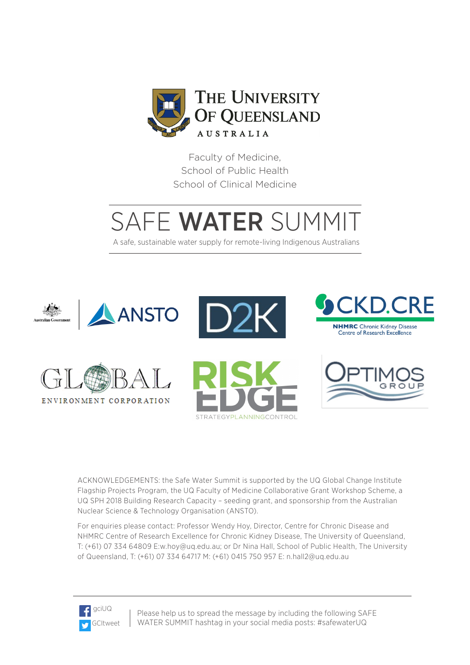

Faculty of Medicine, School of Public Health School of Clinical Medicine

# SAFE WATER SUMMIT

A safe, sustainable water supply for remote-living Indigenous Australians



ACKNOWLEDGEMENTS: the Safe Water Summit is supported by the UQ Global Change Institute Flagship Projects Program, the UQ Faculty of Medicine Collaborative Grant Workshop Scheme, a UQ SPH 2018 Building Research Capacity – seeding grant, and sponsorship from the Australian Nuclear Science & Technology Organisation (ANSTO).

For enquiries please contact: Professor Wendy Hoy, Director, Centre for Chronic Disease and NHMRC Centre of Research Excellence for Chronic Kidney Disease, The University of Queensland, T: (+61) 07 334 64809 E:w.hoy@uq.edu.au; or Dr Nina Hall, School of Public Health, The University of Queensland, T: (+61) 07 334 64717 M: (+61) 0415 750 957 E: n.hall2@uq.edu.au



Please help us to spread the message by including the following SAFE WATER SUMMIT hashtag in your social media posts: #safewaterUQ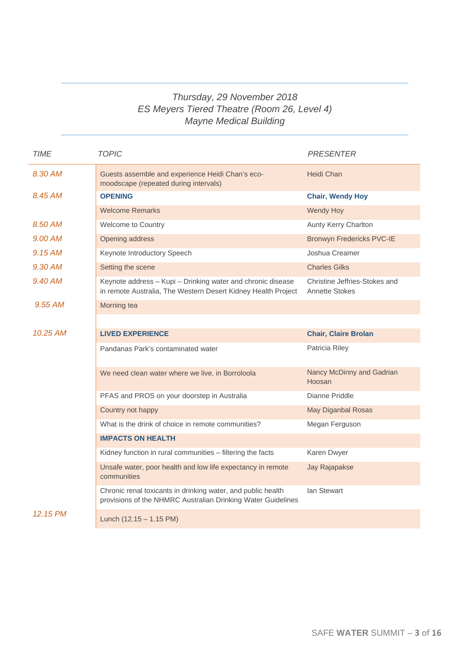# *Thursday, 29 November 2018 ES Meyers Tiered Theatre (Room 26, Level 4) Mayne Medical Building*

| <b>TIME</b> | <b>TOPIC</b>                                                                                                                 | <b>PRESENTER</b>                                       |
|-------------|------------------------------------------------------------------------------------------------------------------------------|--------------------------------------------------------|
| 8.30 AM     | Guests assemble and experience Heidi Chan's eco-<br>moodscape (repeated during intervals)                                    | <b>Heidi Chan</b>                                      |
| 8.45 AM     | <b>OPENING</b>                                                                                                               | <b>Chair, Wendy Hoy</b>                                |
|             | <b>Welcome Remarks</b>                                                                                                       | <b>Wendy Hoy</b>                                       |
| 8.50 AM     | Welcome to Country                                                                                                           | Aunty Kerry Charlton                                   |
| 9.00 AM     | Opening address                                                                                                              | <b>Bronwyn Fredericks PVC-IE</b>                       |
| 9.15 AM     | Keynote Introductory Speech                                                                                                  | Joshua Creamer                                         |
| 9.30 AM     | Setting the scene                                                                                                            | <b>Charles Gilks</b>                                   |
| 9.40 AM     | Keynote address - Kupi - Drinking water and chronic disease<br>in remote Australia, The Western Desert Kidney Health Project | Christine Jeffries-Stokes and<br><b>Annette Stokes</b> |
| 9.55 AM     | Morning tea                                                                                                                  |                                                        |
|             |                                                                                                                              |                                                        |
| 10.25 AM    | <b>LIVED EXPERIENCE</b>                                                                                                      | <b>Chair, Claire Brolan</b>                            |
|             | Pandanas Park's contaminated water                                                                                           | Patricia Riley                                         |
|             | We need clean water where we live, in Borroloola                                                                             | Nancy McDinny and Gadrian<br>Hoosan                    |
|             | PFAS and PROS on your doorstep in Australia                                                                                  | Dianne Priddle                                         |
|             | Country not happy                                                                                                            | <b>May Diganbal Rosas</b>                              |
|             | What is the drink of choice in remote communities?                                                                           | Megan Ferguson                                         |
|             | <b>IMPACTS ON HEALTH</b>                                                                                                     |                                                        |
|             | Kidney function in rural communities - filtering the facts                                                                   | Karen Dwyer                                            |
|             | Unsafe water, poor health and low life expectancy in remote<br>communities                                                   | Jay Rajapakse                                          |
|             | Chronic renal toxicants in drinking water, and public health<br>provisions of the NHMRC Australian Drinking Water Guidelines | lan Stewart                                            |
| 12.15 PM    | Lunch $(12.15 - 1.15 \text{ PM})$                                                                                            |                                                        |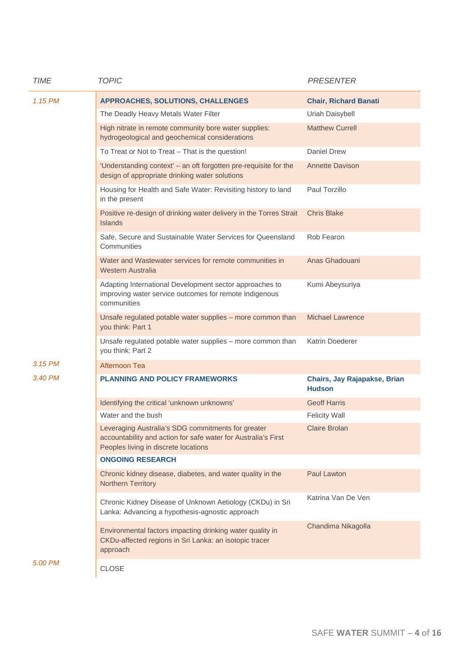| <b>TIME</b> | <b>TOPIC</b>                                                                                                                                                 | <b>PRESENTER</b>                              |
|-------------|--------------------------------------------------------------------------------------------------------------------------------------------------------------|-----------------------------------------------|
| 1.15 PM     | APPROACHES, SOLUTIONS, CHALLENGES                                                                                                                            | <b>Chair, Richard Banati</b>                  |
|             | The Deadly Heavy Metals Water Filter                                                                                                                         | Uriah Daisybell                               |
|             | High nitrate in remote community bore water supplies:<br>hydrogeological and geochemical considerations                                                      | <b>Matthew Currell</b>                        |
|             | To Treat or Not to Treat - That is the question!                                                                                                             | <b>Daniel Drew</b>                            |
|             | 'Understanding context' - an oft forgotten pre-requisite for the<br>design of appropriate drinking water solutions                                           | <b>Annette Davison</b>                        |
|             | Housing for Health and Safe Water: Revisiting history to land<br>in the present                                                                              | Paul Torzillo                                 |
|             | Positive re-design of drinking water delivery in the Torres Strait<br><b>Islands</b>                                                                         | <b>Chris Blake</b>                            |
|             | Safe, Secure and Sustainable Water Services for Queensland<br>Communities                                                                                    | Rob Fearon                                    |
|             | Water and Wastewater services for remote communities in<br><b>Western Australia</b>                                                                          | Anas Ghadouani                                |
|             | Adapting International Development sector approaches to<br>improving water service outcomes for remote Indigenous<br>communities                             | Kumi Abeysuriya                               |
|             | Unsafe regulated potable water supplies - more common than<br>you think: Part 1                                                                              | <b>Michael Lawrence</b>                       |
|             | Unsafe regulated potable water supplies - more common than<br>you think: Part 2                                                                              | Katrin Doederer                               |
| 3.15 PM     | Afternoon Tea                                                                                                                                                |                                               |
| 3.40 PM     | <b>PLANNING AND POLICY FRAMEWORKS</b>                                                                                                                        | Chairs, Jay Rajapakse, Brian<br><b>Hudson</b> |
|             | Identifying the critical 'unknown unknowns'                                                                                                                  | <b>Geoff Harris</b>                           |
|             | Water and the bush                                                                                                                                           | <b>Felicity Wall</b>                          |
|             | Leveraging Australia's SDG commitments for greater<br>accountability and action for safe water for Australia's First<br>Peoples living in discrete locations | Claire Brolan                                 |
|             | <b>ONGOING RESEARCH</b>                                                                                                                                      |                                               |
|             | Chronic kidney disease, diabetes, and water quality in the<br>Northern Territory                                                                             | <b>Paul Lawton</b>                            |
|             | Chronic Kidney Disease of Unknown Aetiology (CKDu) in Sri<br>Lanka: Advancing a hypothesis-agnostic approach                                                 | Katrina Van De Ven                            |
|             | Environmental factors impacting drinking water quality in<br>CKDu-affected regions in Sri Lanka: an isotopic tracer<br>approach                              | Chandima Nikagolla                            |
| 5.00 PM     | <b>CLOSE</b>                                                                                                                                                 |                                               |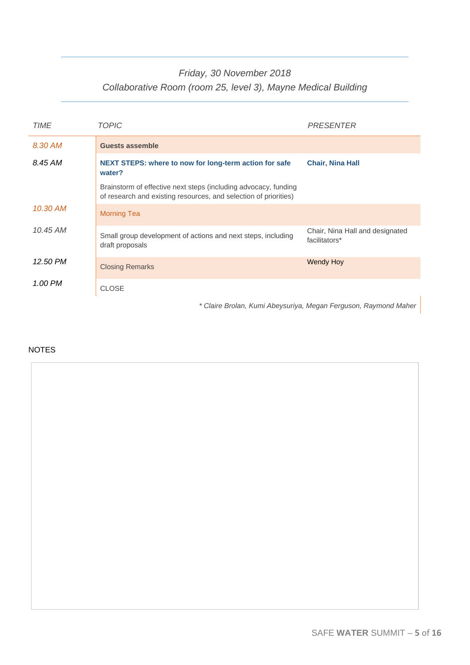# *Friday, 30 November 2018 Collaborative Room (room 25, level 3), Mayne Medical Building*

| <b>TIME</b> | TOPIC                                                                                                                               | PRESENTER                                                                  |
|-------------|-------------------------------------------------------------------------------------------------------------------------------------|----------------------------------------------------------------------------|
| 8.30 AM     | <b>Guests assemble</b>                                                                                                              |                                                                            |
| 8.45 AM     | NEXT STEPS: where to now for long-term action for safe<br>water?                                                                    | <b>Chair, Nina Hall</b>                                                    |
|             | Brainstorm of effective next steps (including advocacy, funding<br>of research and existing resources, and selection of priorities) |                                                                            |
| 10.30 AM    | <b>Morning Tea</b>                                                                                                                  |                                                                            |
| 10.45 AM    | Small group development of actions and next steps, including<br>draft proposals                                                     | Chair, Nina Hall and designated<br>facilitators*                           |
| 12.50 PM    | <b>Closing Remarks</b>                                                                                                              | <b>Wendy Hoy</b>                                                           |
| 1.00 PM     | <b>CLOSE</b>                                                                                                                        |                                                                            |
|             |                                                                                                                                     | * Olaisa Dualam <i>Vinnei Aharamina, Magang Fangunaan</i> , Darmaand Mahar |

#### *\* Claire Brolan, Kumi Abeysuriya, Megan Ferguson, Raymond Maher*

# NOTES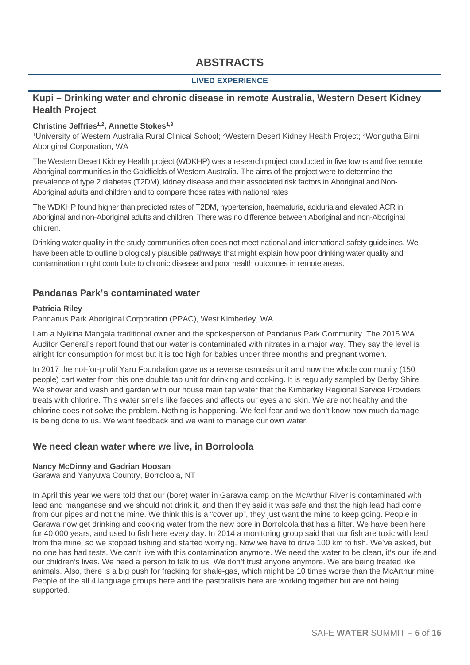# **ABSTRACTS**

# **LIVED EXPERIENCE**

# **Kupi – Drinking water and chronic disease in remote Australia, Western Desert Kidney Health Project**

#### Christine Jeffries<sup>1,2</sup>, Annette Stokes<sup>1,3</sup>

<sup>1</sup>University of Western Australia Rural Clinical School; <sup>2</sup>Western Desert Kidney Health Project; <sup>3</sup>Wongutha Birni Aboriginal Corporation, WA

The Western Desert Kidney Health project (WDKHP) was a research project conducted in five towns and five remote Aboriginal communities in the Goldfields of Western Australia. The aims of the project were to determine the prevalence of type 2 diabetes (T2DM), kidney disease and their associated risk factors in Aboriginal and Non-Aboriginal adults and children and to compare those rates with national rates

The WDKHP found higher than predicted rates of T2DM, hypertension, haematuria, aciduria and elevated ACR in Aboriginal and non-Aboriginal adults and children. There was no difference between Aboriginal and non-Aboriginal children.

Drinking water quality in the study communities often does not meet national and international safety guidelines. We have been able to outline biologically plausible pathways that might explain how poor drinking water quality and contamination might contribute to chronic disease and poor health outcomes in remote areas.

# **Pandanas Park's contaminated water**

#### **Patricia Riley**

Pandanus Park Aboriginal Corporation (PPAC), West Kimberley, WA

I am a Nyikina Mangala traditional owner and the spokesperson of Pandanus Park Community. The 2015 WA Auditor General's report found that our water is contaminated with nitrates in a major way. They say the level is alright for consumption for most but it is too high for babies under three months and pregnant women.

In 2017 the not-for-profit Yaru Foundation gave us a reverse osmosis unit and now the whole community (150 people) cart water from this one double tap unit for drinking and cooking. It is regularly sampled by Derby Shire. We shower and wash and garden with our house main tap water that the Kimberley Regional Service Providers treats with chlorine. This water smells like faeces and affects our eyes and skin. We are not healthy and the chlorine does not solve the problem. Nothing is happening. We feel fear and we don't know how much damage is being done to us. We want feedback and we want to manage our own water.

# **We need clean water where we live, in Borroloola**

#### **Nancy McDinny and Gadrian Hoosan**

Garawa and Yanyuwa Country, Borroloola, NT

In April this year we were told that our (bore) water in Garawa camp on the McArthur River is contaminated with lead and manganese and we should not drink it, and then they said it was safe and that the high lead had come from our pipes and not the mine. We think this is a "cover up", they just want the mine to keep going. People in Garawa now get drinking and cooking water from the new bore in Borroloola that has a filter. We have been here for 40,000 years, and used to fish here every day. In 2014 a monitoring group said that our fish are toxic with lead from the mine, so we stopped fishing and started worrying. Now we have to drive 100 km to fish. We've asked, but no one has had tests. We can't live with this contamination anymore. We need the water to be clean, it's our life and our children's lives. We need a person to talk to us. We don't trust anyone anymore. We are being treated like animals. Also, there is a big push for fracking for shale-gas, which might be 10 times worse than the McArthur mine. People of the all 4 language groups here and the pastoralists here are working together but are not being supported.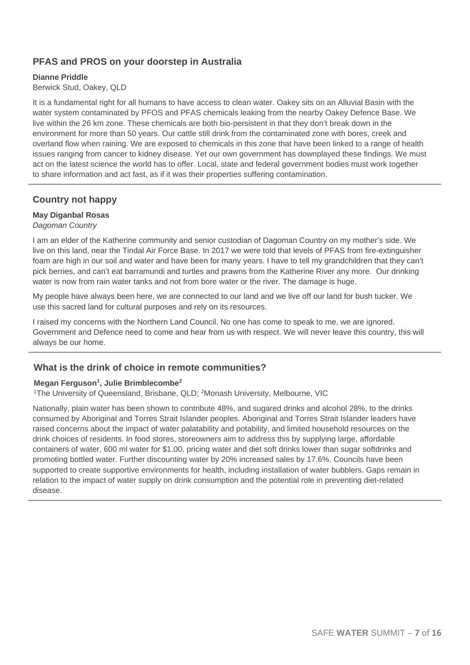# **PFAS and PROS on your doorstep in Australia**

# **Dianne Priddle**

# Berwick Stud, Oakey, QLD

It is a fundamental right for all humans to have access to clean water. Oakey sits on an Alluvial Basin with the water system contaminated by PFOS and PFAS chemicals leaking from the nearby Oakey Defence Base. We live within the 26 km zone. These chemicals are both bio-persistent in that they don't break down in the environment for more than 50 years. Our cattle still drink from the contaminated zone with bores, creek and overland flow when raining. We are exposed to chemicals in this zone that have been linked to a range of health issues ranging from cancer to kidney disease. Yet our own government has downplayed these findings. We must act on the latest science the world has to offer. Local, state and federal government bodies must work together to share information and act fast, as if it was their properties suffering contamination.

# **Country not happy**

# **May Diganbal Rosas**

# *Dagoman Country*

I am an elder of the Katherine community and senior custodian of Dagoman Country on my mother's side. We live on this land, near the Tindal Air Force Base. In 2017 we were told that levels of PFAS from fire-extinguisher foam are high in our soil and water and have been for many years. I have to tell my grandchildren that they can't pick berries, and can't eat barramundi and turtles and prawns from the Katherine River any more. Our drinking water is now from rain water tanks and not from bore water or the river. The damage is huge.

My people have always been here, we are connected to our land and we live off our land for bush tucker. We use this sacred land for cultural purposes and rely on its resources.

I raised my concerns with the Northern Land Council. No one has come to speak to me, we are ignored. Government and Defence need to come and hear from us with respect. We will never leave this country, this will always be our home.

# **What is the drink of choice in remote communities?**

#### **Megan Ferguson1, Julie Brimblecombe2**

<sup>1</sup>The University of Queensland, Brisbane, QLD; <sup>2</sup>Monash University, Melbourne, VIC

Nationally, plain water has been shown to contribute 48%, and sugared drinks and alcohol 28%, to the drinks consumed by Aboriginal and Torres Strait Islander peoples. Aboriginal and Torres Strait Islander leaders have raised concerns about the impact of water palatability and potability, and limited household resources on the drink choices of residents. In food stores, storeowners aim to address this by supplying large, affordable containers of water, 600 ml water for \$1.00, pricing water and diet soft drinks lower than sugar softdrinks and promoting bottled water. Further discounting water by 20% increased sales by 17.6%. Councils have been supported to create supportive environments for health, including installation of water bubblers. Gaps remain in relation to the impact of water supply on drink consumption and the potential role in preventing diet-related disease.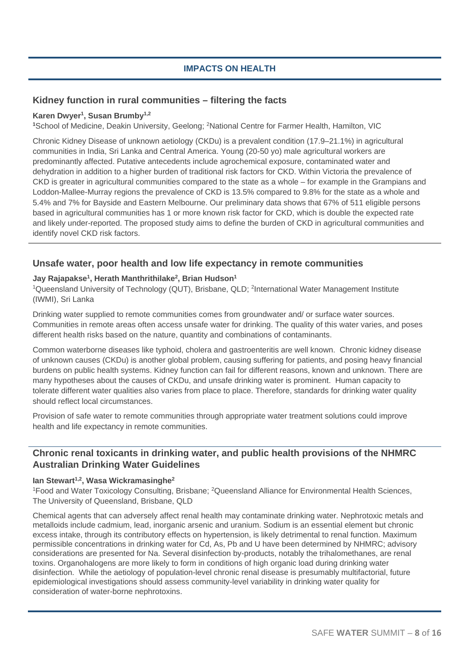# **IMPACTS ON HEALTH**

# **Kidney function in rural communities – filtering the facts**

# **Karen Dwyer1, Susan Brumby1,2**

<sup>1</sup>School of Medicine, Deakin University, Geelong; <sup>2</sup>National Centre for Farmer Health, Hamilton, VIC

Chronic Kidney Disease of unknown aetiology (CKDu) is a prevalent condition (17.9–21.1%) in agricultural communities in India, Sri Lanka and Central America. Young (20-50 yo) male agricultural workers are predominantly affected. Putative antecedents include agrochemical exposure, contaminated water and dehydration in addition to a higher burden of traditional risk factors for CKD. Within Victoria the prevalence of CKD is greater in agricultural communities compared to the state as a whole – for example in the Grampians and Loddon-Mallee-Murray regions the prevalence of CKD is 13.5% compared to 9.8% for the state as a whole and 5.4% and 7% for Bayside and Eastern Melbourne. Our preliminary data shows that 67% of 511 eligible persons based in agricultural communities has 1 or more known risk factor for CKD, which is double the expected rate and likely under-reported. The proposed study aims to define the burden of CKD in agricultural communities and identify novel CKD risk factors.

# **Unsafe water, poor health and low life expectancy in remote communities**

# **Jay Rajapakse1, Herath Manthrithilake2, Brian Hudson1**

<sup>1</sup>Queensland University of Technology (QUT), Brisbane, QLD; <sup>2</sup>International Water Management Institute (IWMI), Sri Lanka

Drinking water supplied to remote communities comes from groundwater and/ or surface water sources. Communities in remote areas often access unsafe water for drinking. The quality of this water varies, and poses different health risks based on the nature, quantity and combinations of contaminants.

Common waterborne diseases like typhoid, cholera and gastroenteritis are well known. Chronic kidney disease of unknown causes (CKDu) is another global problem, causing suffering for patients, and posing heavy financial burdens on public health systems. Kidney function can fail for different reasons, known and unknown. There are many hypotheses about the causes of CKDu, and unsafe drinking water is prominent. Human capacity to tolerate different water qualities also varies from place to place. Therefore, standards for drinking water quality should reflect local circumstances.

Provision of safe water to remote communities through appropriate water treatment solutions could improve health and life expectancy in remote communities.

# **Chronic renal toxicants in drinking water, and public health provisions of the NHMRC Australian Drinking Water Guidelines**

#### **Ian Stewart1,2, Wasa Wickramasinghe2**

<sup>1</sup>Food and Water Toxicology Consulting, Brisbane; <sup>2</sup>Queensland Alliance for Environmental Health Sciences, The University of Queensland, Brisbane, QLD

Chemical agents that can adversely affect renal health may contaminate drinking water. Nephrotoxic metals and metalloids include cadmium, lead, inorganic arsenic and uranium. Sodium is an essential element but chronic excess intake, through its contributory effects on hypertension, is likely detrimental to renal function. Maximum permissible concentrations in drinking water for Cd, As, Pb and U have been determined by NHMRC; advisory considerations are presented for Na. Several disinfection by-products, notably the trihalomethanes, are renal toxins. Organohalogens are more likely to form in conditions of high organic load during drinking water disinfection. While the aetiology of population-level chronic renal disease is presumably multifactorial, future epidemiological investigations should assess community-level variability in drinking water quality for consideration of water-borne nephrotoxins.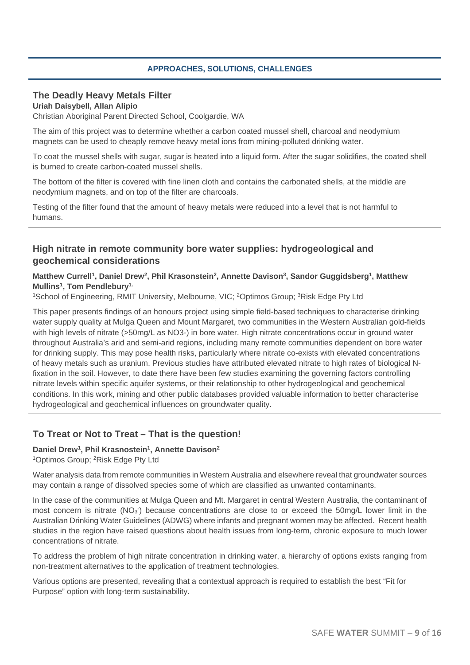# **APPROACHES, SOLUTIONS, CHALLENGES**

# **The Deadly Heavy Metals Filter**

**Uriah Daisybell, Allan Alipio** 

Christian Aboriginal Parent Directed School, Coolgardie, WA

The aim of this project was to determine whether a carbon coated mussel shell, charcoal and neodymium magnets can be used to cheaply remove heavy metal ions from mining-polluted drinking water.

To coat the mussel shells with sugar, sugar is heated into a liquid form. After the sugar solidifies, the coated shell is burned to create carbon-coated mussel shells.

The bottom of the filter is covered with fine linen cloth and contains the carbonated shells, at the middle are neodymium magnets, and on top of the filter are charcoals.

Testing of the filter found that the amount of heavy metals were reduced into a level that is not harmful to humans.

# **High nitrate in remote community bore water supplies: hydrogeological and geochemical considerations**

Matthew Currell<sup>1</sup>, Daniel Drew<sup>2</sup>, Phil Krasonstein<sup>2</sup>, Annette Davison<sup>3</sup>, Sandor Guggidsberg<sup>1</sup>, Matthew **Mullins1, Tom Pendlebury1.** 

1School of Engineering, RMIT University, Melbourne, VIC; 2Optimos Group; 3Risk Edge Pty Ltd

This paper presents findings of an honours project using simple field-based techniques to characterise drinking water supply quality at Mulga Queen and Mount Margaret, two communities in the Western Australian gold-fields with high levels of nitrate (>50mg/L as NO3-) in bore water. High nitrate concentrations occur in ground water throughout Australia's arid and semi-arid regions, including many remote communities dependent on bore water for drinking supply. This may pose health risks, particularly where nitrate co-exists with elevated concentrations of heavy metals such as uranium. Previous studies have attributed elevated nitrate to high rates of biological Nfixation in the soil. However, to date there have been few studies examining the governing factors controlling nitrate levels within specific aquifer systems, or their relationship to other hydrogeological and geochemical conditions. In this work, mining and other public databases provided valuable information to better characterise hydrogeological and geochemical influences on groundwater quality.

# **To Treat or Not to Treat – That is the question!**

#### Daniel Drew<sup>1</sup>, Phil Krasnostein<sup>1</sup>, Annette Davison<sup>2</sup>

1Optimos Group; 2Risk Edge Pty Ltd

Water analysis data from remote communities in Western Australia and elsewhere reveal that groundwater sources may contain a range of dissolved species some of which are classified as unwanted contaminants.

In the case of the communities at Mulga Queen and Mt. Margaret in central Western Australia, the contaminant of most concern is nitrate (NO<sub>3</sub>) because concentrations are close to or exceed the 50mg/L lower limit in the Australian Drinking Water Guidelines (ADWG) where infants and pregnant women may be affected. Recent health studies in the region have raised questions about health issues from long-term, chronic exposure to much lower concentrations of nitrate.

To address the problem of high nitrate concentration in drinking water, a hierarchy of options exists ranging from non-treatment alternatives to the application of treatment technologies.

Various options are presented, revealing that a contextual approach is required to establish the best "Fit for Purpose" option with long-term sustainability.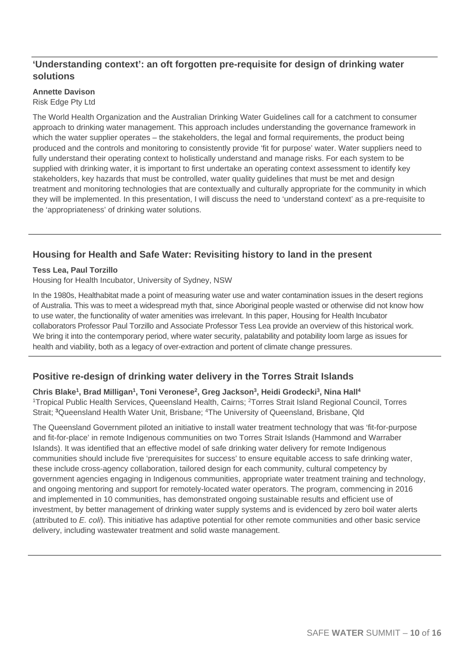# **'Understanding context': an oft forgotten pre-requisite for design of drinking water solutions**

# **Annette Davison**

Risk Edge Pty Ltd

The World Health Organization and the Australian Drinking Water Guidelines call for a catchment to consumer approach to drinking water management. This approach includes understanding the governance framework in which the water supplier operates – the stakeholders, the legal and formal requirements, the product being produced and the controls and monitoring to consistently provide 'fit for purpose' water. Water suppliers need to fully understand their operating context to holistically understand and manage risks. For each system to be supplied with drinking water, it is important to first undertake an operating context assessment to identify key stakeholders, key hazards that must be controlled, water quality guidelines that must be met and design treatment and monitoring technologies that are contextually and culturally appropriate for the community in which they will be implemented. In this presentation, I will discuss the need to 'understand context' as a pre-requisite to the 'appropriateness' of drinking water solutions.

# **Housing for Health and Safe Water: Revisiting history to land in the present**

#### **Tess Lea, Paul Torzillo**

Housing for Health Incubator, University of Sydney, NSW

In the 1980s, Healthabitat made a point of measuring water use and water contamination issues in the desert regions of Australia. This was to meet a widespread myth that, since Aboriginal people wasted or otherwise did not know how to use water, the functionality of water amenities was irrelevant. In this paper, Housing for Health Incubator collaborators Professor Paul Torzillo and Associate Professor Tess Lea provide an overview of this historical work. We bring it into the contemporary period, where water security, palatability and potability loom large as issues for health and viability, both as a legacy of over-extraction and portent of climate change pressures.

# **Positive re-design of drinking water delivery in the Torres Strait Islands**

Chris Blake<sup>1</sup>, Brad Milligan<sup>1</sup>, Toni Veronese<sup>2</sup>, Greg Jackson<sup>3</sup>, Heidi Grodecki<sup>3</sup>, Nina Hall<sup>4</sup> <sup>1</sup>Tropical Public Health Services, Queensland Health, Cairns; <sup>2</sup>Torres Strait Island Regional Council, Torres Strait; **<sup>3</sup>**Queensland Health Water Unit, Brisbane; 4The University of Queensland, Brisbane, Qld

The Queensland Government piloted an initiative to install water treatment technology that was 'fit-for-purpose and fit-for-place' in remote Indigenous communities on two Torres Strait Islands (Hammond and Warraber Islands). It was identified that an effective model of safe drinking water delivery for remote Indigenous communities should include five 'prerequisites for success' to ensure equitable access to safe drinking water, these include cross-agency collaboration, tailored design for each community, cultural competency by government agencies engaging in Indigenous communities, appropriate water treatment training and technology, and ongoing mentoring and support for remotely-located water operators. The program, commencing in 2016 and implemented in 10 communities, has demonstrated ongoing sustainable results and efficient use of investment, by better management of drinking water supply systems and is evidenced by zero boil water alerts (attributed to *E. coli*). This initiative has adaptive potential for other remote communities and other basic service delivery, including wastewater treatment and solid waste management.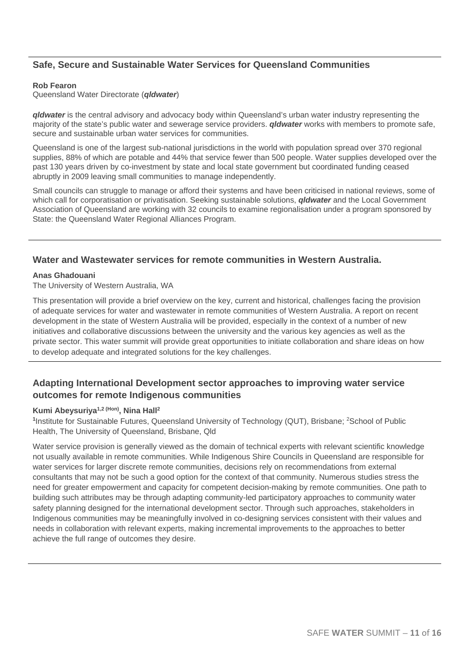# **Safe, Secure and Sustainable Water Services for Queensland Communities**

#### **Rob Fearon**

Queensland Water Directorate (*qldwater*)

*qldwater* is the central advisory and advocacy body within Queensland's urban water industry representing the majority of the state's public water and sewerage service providers. *qldwater* works with members to promote safe, secure and sustainable urban water services for communities.

Queensland is one of the largest sub-national jurisdictions in the world with population spread over 370 regional supplies, 88% of which are potable and 44% that service fewer than 500 people. Water supplies developed over the past 130 years driven by co-investment by state and local state government but coordinated funding ceased abruptly in 2009 leaving small communities to manage independently.

Small councils can struggle to manage or afford their systems and have been criticised in national reviews, some of which call for corporatisation or privatisation. Seeking sustainable solutions, *qldwater* and the Local Government Association of Queensland are working with 32 councils to examine regionalisation under a program sponsored by State: the Queensland Water Regional Alliances Program.

# **Water and Wastewater services for remote communities in Western Australia.**

#### **Anas Ghadouani**

The University of Western Australia, WA

This presentation will provide a brief overview on the key, current and historical, challenges facing the provision of adequate services for water and wastewater in remote communities of Western Australia. A report on recent development in the state of Western Australia will be provided, especially in the context of a number of new initiatives and collaborative discussions between the university and the various key agencies as well as the private sector. This water summit will provide great opportunities to initiate collaboration and share ideas on how to develop adequate and integrated solutions for the key challenges.

# **Adapting International Development sector approaches to improving water service outcomes for remote Indigenous communities**

Kumi Abeysuriya<sup>1,2 (Hon)</sup>, Nina Hall<sup>2</sup><br><sup>1</sup>Institute for Sustainable Futures, Queensland University of Technology (QUT), Brisbane; <sup>2</sup>School of Public Health, The University of Queensland, Brisbane, Qld

Water service provision is generally viewed as the domain of technical experts with relevant scientific knowledge not usually available in remote communities. While Indigenous Shire Councils in Queensland are responsible for water services for larger discrete remote communities, decisions rely on recommendations from external consultants that may not be such a good option for the context of that community. Numerous studies stress the need for greater empowerment and capacity for competent decision-making by remote communities. One path to building such attributes may be through adapting community-led participatory approaches to community water safety planning designed for the international development sector. Through such approaches, stakeholders in Indigenous communities may be meaningfully involved in co-designing services consistent with their values and needs in collaboration with relevant experts, making incremental improvements to the approaches to better achieve the full range of outcomes they desire.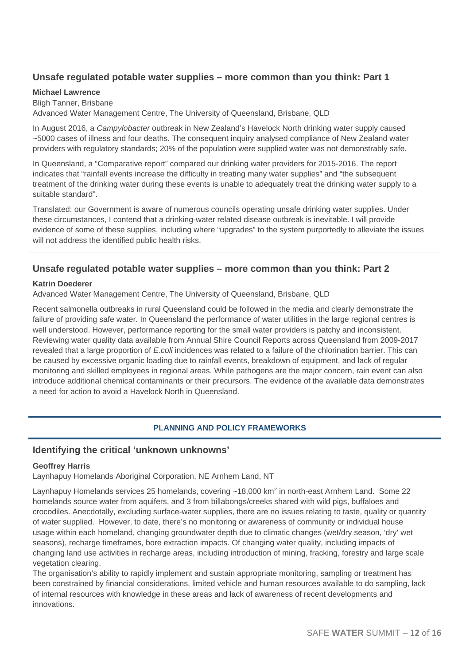# **Unsafe regulated potable water supplies – more common than you think: Part 1**

#### **Michael Lawrence**

Bligh Tanner, Brisbane

Advanced Water Management Centre, The University of Queensland, Brisbane, QLD

In August 2016, a *Campylobacter* outbreak in New Zealand's Havelock North drinking water supply caused ~5000 cases of illness and four deaths. The consequent inquiry analysed compliance of New Zealand water providers with regulatory standards; 20% of the population were supplied water was not demonstrably safe.

In Queensland, a "Comparative report" compared our drinking water providers for 2015-2016. The report indicates that "rainfall events increase the difficulty in treating many water supplies" and "the subsequent treatment of the drinking water during these events is unable to adequately treat the drinking water supply to a suitable standard".

Translated: our Government is aware of numerous councils operating unsafe drinking water supplies. Under these circumstances, I contend that a drinking-water related disease outbreak is inevitable. I will provide evidence of some of these supplies, including where "upgrades" to the system purportedly to alleviate the issues will not address the identified public health risks.

# **Unsafe regulated potable water supplies – more common than you think: Part 2**

#### **Katrin Doederer**

Advanced Water Management Centre, The University of Queensland, Brisbane, QLD

Recent salmonella outbreaks in rural Queensland could be followed in the media and clearly demonstrate the failure of providing safe water. In Queensland the performance of water utilities in the large regional centres is well understood. However, performance reporting for the small water providers is patchy and inconsistent. Reviewing water quality data available from Annual Shire Council Reports across Queensland from 2009-2017 revealed that a large proportion of *E.coli* incidences was related to a failure of the chlorination barrier. This can be caused by excessive organic loading due to rainfall events, breakdown of equipment, and lack of regular monitoring and skilled employees in regional areas. While pathogens are the major concern, rain event can also introduce additional chemical contaminants or their precursors. The evidence of the available data demonstrates a need for action to avoid a Havelock North in Queensland.

#### **PLANNING AND POLICY FRAMEWORKS**

#### **Identifying the critical 'unknown unknowns'**

#### **Geoffrey Harris**

Laynhapuy Homelands Aboriginal Corporation, NE Arnhem Land, NT

Laynhapuy Homelands services 25 homelands, covering  $\sim$ 18,000 km<sup>2</sup> in north-east Arnhem Land. Some 22 homelands source water from aquifers, and 3 from billabongs/creeks shared with wild pigs, buffaloes and crocodiles. Anecdotally, excluding surface-water supplies, there are no issues relating to taste, quality or quantity of water supplied. However, to date, there's no monitoring or awareness of community or individual house usage within each homeland, changing groundwater depth due to climatic changes (wet/dry season, 'dry' wet seasons), recharge timeframes, bore extraction impacts. Of changing water quality, including impacts of changing land use activities in recharge areas, including introduction of mining, fracking, forestry and large scale vegetation clearing.

The organisation's ability to rapidly implement and sustain appropriate monitoring, sampling or treatment has been constrained by financial considerations, limited vehicle and human resources available to do sampling, lack of internal resources with knowledge in these areas and lack of awareness of recent developments and innovations.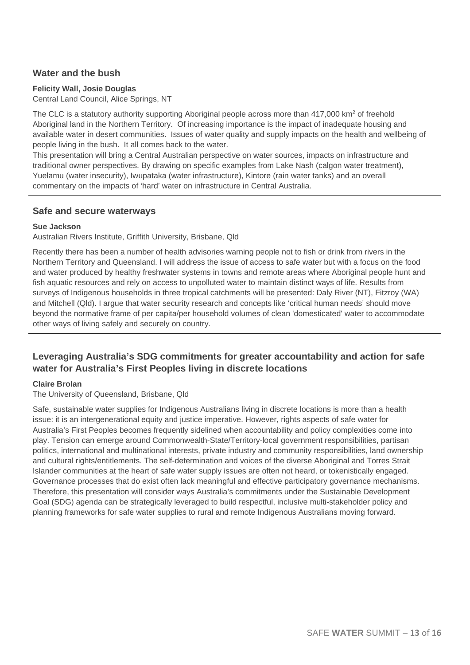# **Water and the bush**

### **Felicity Wall, Josie Douglas**

Central Land Council, Alice Springs, NT

The CLC is a statutory authority supporting Aboriginal people across more than  $417,000$  km<sup>2</sup> of freehold Aboriginal land in the Northern Territory. Of increasing importance is the impact of inadequate housing and available water in desert communities. Issues of water quality and supply impacts on the health and wellbeing of people living in the bush. It all comes back to the water.

This presentation will bring a Central Australian perspective on water sources, impacts on infrastructure and traditional owner perspectives. By drawing on specific examples from Lake Nash (calgon water treatment), Yuelamu (water insecurity), Iwupataka (water infrastructure), Kintore (rain water tanks) and an overall commentary on the impacts of 'hard' water on infrastructure in Central Australia.

# **Safe and secure waterways**

#### **Sue Jackson**

Australian Rivers Institute, Griffith University, Brisbane, Qld

Recently there has been a number of health advisories warning people not to fish or drink from rivers in the Northern Territory and Queensland. I will address the issue of access to safe water but with a focus on the food and water produced by healthy freshwater systems in towns and remote areas where Aboriginal people hunt and fish aquatic resources and rely on access to unpolluted water to maintain distinct ways of life. Results from surveys of Indigenous households in three tropical catchments will be presented: Daly River (NT), Fitzroy (WA) and Mitchell (Qld). I argue that water security research and concepts like 'critical human needs' should move beyond the normative frame of per capita/per household volumes of clean 'domesticated' water to accommodate other ways of living safely and securely on country.

# **Leveraging Australia's SDG commitments for greater accountability and action for safe water for Australia's First Peoples living in discrete locations**

#### **Claire Brolan**

The University of Queensland, Brisbane, Qld

Safe, sustainable water supplies for Indigenous Australians living in discrete locations is more than a health issue: it is an intergenerational equity and justice imperative. However, rights aspects of safe water for Australia's First Peoples becomes frequently sidelined when accountability and policy complexities come into play. Tension can emerge around Commonwealth-State/Territory-local government responsibilities, partisan politics, international and multinational interests, private industry and community responsibilities, land ownership and cultural rights/entitlements. The self-determination and voices of the diverse Aboriginal and Torres Strait Islander communities at the heart of safe water supply issues are often not heard, or tokenistically engaged. Governance processes that do exist often lack meaningful and effective participatory governance mechanisms. Therefore, this presentation will consider ways Australia's commitments under the Sustainable Development Goal (SDG) agenda can be strategically leveraged to build respectful, inclusive multi-stakeholder policy and planning frameworks for safe water supplies to rural and remote Indigenous Australians moving forward.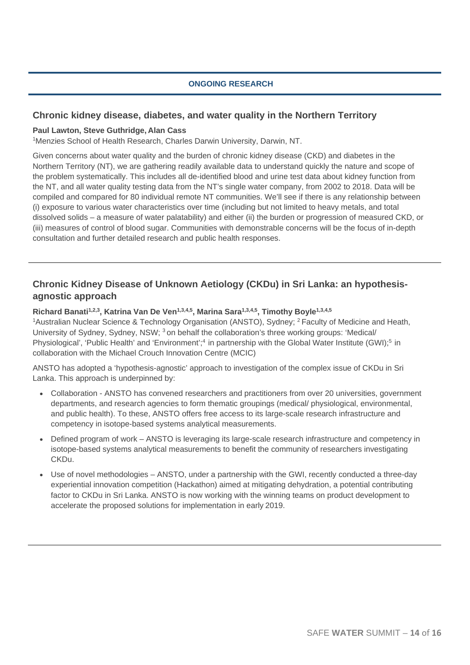# **ONGOING RESEARCH**

# **Chronic kidney disease, diabetes, and water quality in the Northern Territory**

### **Paul Lawton, Steve Guthridge, Alan Cass**

<sup>1</sup>Menzies School of Health Research, Charles Darwin University, Darwin, NT.

Given concerns about water quality and the burden of chronic kidney disease (CKD) and diabetes in the Northern Territory (NT), we are gathering readily available data to understand quickly the nature and scope of the problem systematically. This includes all de-identified blood and urine test data about kidney function from the NT, and all water quality testing data from the NT's single water company, from 2002 to 2018. Data will be compiled and compared for 80 individual remote NT communities. We'll see if there is any relationship between (i) exposure to various water characteristics over time (including but not limited to heavy metals, and total dissolved solids – a measure of water palatability) and either (ii) the burden or progression of measured CKD, or (iii) measures of control of blood sugar. Communities with demonstrable concerns will be the focus of in-depth consultation and further detailed research and public health responses.

# **Chronic Kidney Disease of Unknown Aetiology (CKDu) in Sri Lanka: an hypothesisagnostic approach**

#### **Richard Banati1,2,3, Katrina Van De Ven1,3,4,5, Marina Sara1,3,4,5, Timothy Boyle1,3,4,5**

<sup>1</sup>Australian Nuclear Science & Technology Organisation (ANSTO), Sydney; <sup>2</sup> Faculty of Medicine and Heath, University of Sydney, Sydney, NSW; 3 on behalf the collaboration's three working groups: 'Medical/ Physiological', 'Public Health' and 'Environment';<sup>4</sup> in partnership with the Global Water Institute (GWI);<sup>5</sup> in collaboration with the Michael Crouch Innovation Centre (MCIC)

ANSTO has adopted a 'hypothesis-agnostic' approach to investigation of the complex issue of CKDu in Sri Lanka. This approach is underpinned by:

- Collaboration ANSTO has convened researchers and practitioners from over 20 universities, government departments, and research agencies to form thematic groupings (medical/ physiological, environmental, and public health). To these, ANSTO offers free access to its large-scale research infrastructure and competency in isotope-based systems analytical measurements.
- Defined program of work ANSTO is leveraging its large-scale research infrastructure and competency in isotope-based systems analytical measurements to benefit the community of researchers investigating CKDu.
- Use of novel methodologies ANSTO, under a partnership with the GWI, recently conducted a three-day experiential innovation competition (Hackathon) aimed at mitigating dehydration, a potential contributing factor to CKDu in Sri Lanka. ANSTO is now working with the winning teams on product development to accelerate the proposed solutions for implementation in early 2019.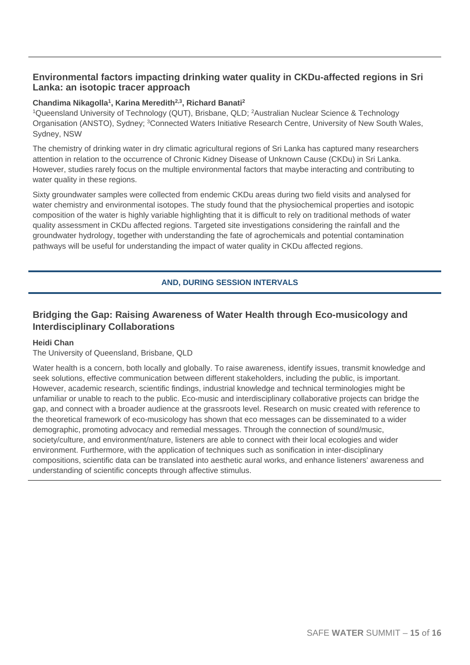# **Environmental factors impacting drinking water quality in CKDu-affected regions in Sri Lanka: an isotopic tracer approach**

# **Chandima Nikagolla1, Karina Meredith2,3, Richard Banati2**

<sup>1</sup>Queensland University of Technology (QUT), Brisbane, QLD; <sup>2</sup>Australian Nuclear Science & Technology Organisation (ANSTO), Sydney; <sup>3</sup>Connected Waters Initiative Research Centre, University of New South Wales, Sydney, NSW

The chemistry of drinking water in dry climatic agricultural regions of Sri Lanka has captured many researchers attention in relation to the occurrence of Chronic Kidney Disease of Unknown Cause (CKDu) in Sri Lanka. However, studies rarely focus on the multiple environmental factors that maybe interacting and contributing to water quality in these regions.

Sixty groundwater samples were collected from endemic CKDu areas during two field visits and analysed for water chemistry and environmental isotopes. The study found that the physiochemical properties and isotopic composition of the water is highly variable highlighting that it is difficult to rely on traditional methods of water quality assessment in CKDu affected regions. Targeted site investigations considering the rainfall and the groundwater hydrology, together with understanding the fate of agrochemicals and potential contamination pathways will be useful for understanding the impact of water quality in CKDu affected regions.

# **AND, DURING SESSION INTERVALS**

# **Bridging the Gap: Raising Awareness of Water Health through Eco-musicology and Interdisciplinary Collaborations**

#### **Heidi Chan**

#### The University of Queensland, Brisbane, QLD

Water health is a concern, both locally and globally. To raise awareness, identify issues, transmit knowledge and seek solutions, effective communication between different stakeholders, including the public, is important. However, academic research, scientific findings, industrial knowledge and technical terminologies might be unfamiliar or unable to reach to the public. Eco-music and interdisciplinary collaborative projects can bridge the gap, and connect with a broader audience at the grassroots level. Research on music created with reference to the theoretical framework of eco-musicology has shown that eco messages can be disseminated to a wider demographic, promoting advocacy and remedial messages. Through the connection of sound/music, society/culture, and environment/nature, listeners are able to connect with their local ecologies and wider environment. Furthermore, with the application of techniques such as sonification in inter-disciplinary compositions, scientific data can be translated into aesthetic aural works, and enhance listeners' awareness and understanding of scientific concepts through affective stimulus.